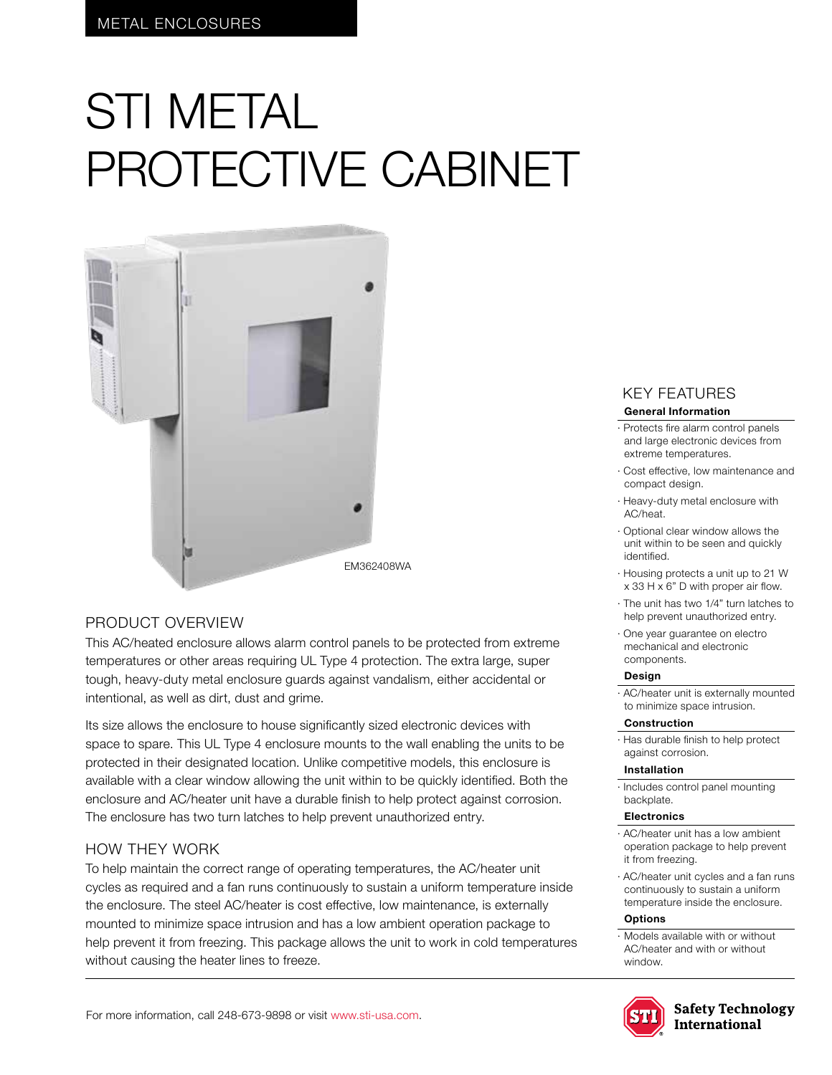# STI METAL PROTECTIVE CABINET



# PRODUCT OVERVIEW

This AC/heated enclosure allows alarm control panels to be protected from extreme temperatures or other areas requiring UL Type 4 protection. The extra large, super tough, heavy-duty metal enclosure guards against vandalism, either accidental or intentional, as well as dirt, dust and grime.

Its size allows the enclosure to house significantly sized electronic devices with space to spare. This UL Type 4 enclosure mounts to the wall enabling the units to be protected in their designated location. Unlike competitive models, this enclosure is available with a clear window allowing the unit within to be quickly identified. Both the enclosure and AC/heater unit have a durable finish to help protect against corrosion. The enclosure has two turn latches to help prevent unauthorized entry.

# HOW THEY WORK

To help maintain the correct range of operating temperatures, the AC/heater unit cycles as required and a fan runs continuously to sustain a uniform temperature inside the enclosure. The steel AC/heater is cost effective, low maintenance, is externally mounted to minimize space intrusion and has a low ambient operation package to help prevent it from freezing. This package allows the unit to work in cold temperatures without causing the heater lines to freeze.

# KEY FEATURES

#### **General Information**

- · Protects fire alarm control panels and large electronic devices from extreme temperatures.
- · Cost effective, low maintenance and compact design.
- · Heavy-duty metal enclosure with AC/heat.
- · Optional clear window allows the unit within to be seen and quickly identified.
- · Housing protects a unit up to 21 W x 33 H x 6" D with proper air flow.
- · The unit has two 1/4" turn latches to help prevent unauthorized entry.
- · One year guarantee on electro mechanical and electronic components.

#### **Design**

· AC/heater unit is externally mounted to minimize space intrusion.

#### **Construction**

· Has durable finish to help protect against corrosion.

#### **Installation**

· Includes control panel mounting backplate.

#### **Electronics**

- · AC/heater unit has a low ambient operation package to help prevent it from freezing.
- · AC/heater unit cycles and a fan runs continuously to sustain a uniform temperature inside the enclosure.

#### **Options**

· Models available with or without AC/heater and with or without window.